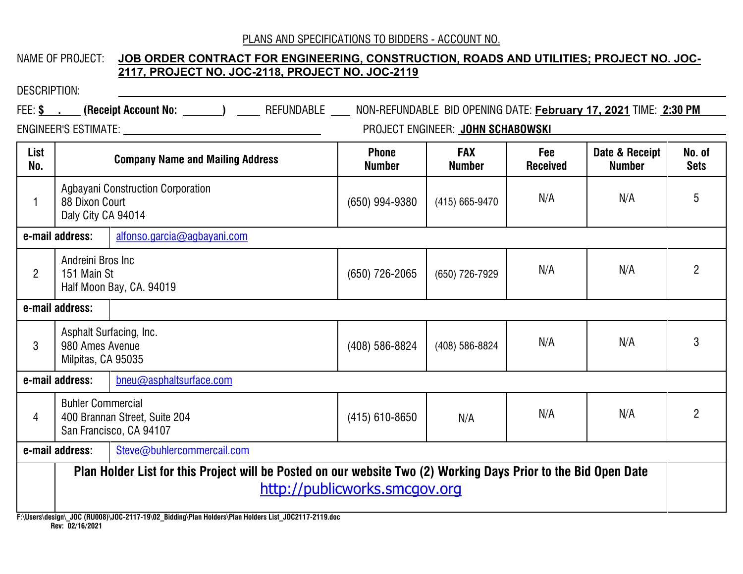# NAME OF PROJECT: **JOB ORDER CONTRACT FOR ENGINEERING, CONSTRUCTION, ROADS AND UTILITIES; PROJECT NO. JOC-2117, PROJECT NO. JOC-2118, PROJECT NO. JOC-2119**

| <b>DESCRIPTION:</b> |                                                                                                                                                                                                                                                |                                                                                                                             |                               |                                   |                        |                                 |                       |
|---------------------|------------------------------------------------------------------------------------------------------------------------------------------------------------------------------------------------------------------------------------------------|-----------------------------------------------------------------------------------------------------------------------------|-------------------------------|-----------------------------------|------------------------|---------------------------------|-----------------------|
|                     |                                                                                                                                                                                                                                                | FEE: \$ . (Receipt Account No: ______) ____ REFUNDABLE ___ NON-REFUNDABLE BID OPENING DATE: February 17, 2021 TIME: 2:30 PM |                               |                                   |                        |                                 |                       |
|                     |                                                                                                                                                                                                                                                |                                                                                                                             |                               | PROJECT ENGINEER: JOHN SCHABOWSKI |                        |                                 |                       |
| List<br>No.         |                                                                                                                                                                                                                                                | <b>Company Name and Mailing Address</b>                                                                                     | <b>Phone</b><br><b>Number</b> | <b>FAX</b><br><b>Number</b>       | Fee<br><b>Received</b> | Date & Receipt<br><b>Number</b> | No. of<br><b>Sets</b> |
|                     | 88 Dixon Court<br>Daly City CA 94014                                                                                                                                                                                                           | <b>Agbayani Construction Corporation</b>                                                                                    | (650) 994-9380                | (415) 665-9470                    | N/A                    | N/A                             | 5                     |
|                     | e-mail address:                                                                                                                                                                                                                                | alfonso.garcia@agbayani.com                                                                                                 |                               |                                   |                        |                                 |                       |
| $\overline{2}$      | Andreini Bros Inc<br>151 Main St<br>Half Moon Bay, CA. 94019                                                                                                                                                                                   |                                                                                                                             | (650) 726-2065                | (650) 726-7929                    | N/A                    | N/A                             | $\overline{2}$        |
|                     | e-mail address:                                                                                                                                                                                                                                |                                                                                                                             |                               |                                   |                        |                                 |                       |
| 3                   | Asphalt Surfacing, Inc.<br>980 Ames Avenue<br>Milpitas, CA 95035                                                                                                                                                                               |                                                                                                                             | (408) 586-8824                | (408) 586-8824                    | N/A                    | N/A                             | 3                     |
|                     | e-mail address:                                                                                                                                                                                                                                | bneu@asphaltsurface.com                                                                                                     |                               |                                   |                        |                                 |                       |
| 4                   | <b>Buhler Commercial</b><br>400 Brannan Street, Suite 204<br>San Francisco, CA 94107                                                                                                                                                           |                                                                                                                             | $(415)$ 610-8650              | N/A                               | N/A                    | N/A                             | $\overline{2}$        |
|                     | e-mail address:                                                                                                                                                                                                                                | Steve@buhlercommercail.com                                                                                                  |                               |                                   |                        |                                 |                       |
|                     | Plan Holder List for this Project will be Posted on our website Two (2) Working Days Prior to the Bid Open Date<br>http://publicworks.smcgov.org<br>$(1, 100, (711000))$ 100, 0447 40100, 21111, 1711, 1111, 1711, 1111, 1111, 1000447 0440, 1 |                                                                                                                             |                               |                                   |                        |                                 |                       |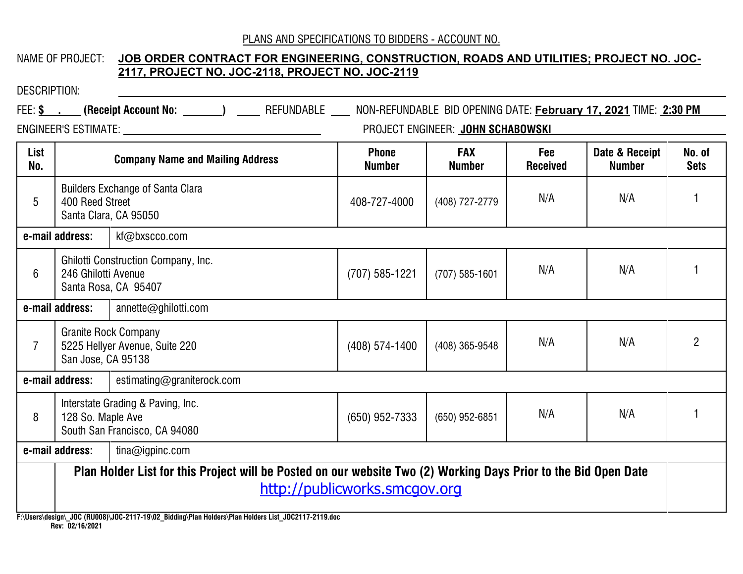# NAME OF PROJECT: **JOB ORDER CONTRACT FOR ENGINEERING, CONSTRUCTION, ROADS AND UTILITIES; PROJECT NO. JOC-2117, PROJECT NO. JOC-2118, PROJECT NO. JOC-2119**

| DESCRIPTION:    |                                                                                                                                                  |                                                                                                                             |                               |                                   |                        |                                 |                       |
|-----------------|--------------------------------------------------------------------------------------------------------------------------------------------------|-----------------------------------------------------------------------------------------------------------------------------|-------------------------------|-----------------------------------|------------------------|---------------------------------|-----------------------|
|                 |                                                                                                                                                  | FEE: \$ . (Receipt Account No: ______) ____ REFUNDABLE ___ NON-REFUNDABLE BID OPENING DATE: February 17, 2021 TIME: 2:30 PM |                               |                                   |                        |                                 |                       |
|                 |                                                                                                                                                  | ENGINEER'S ESTIMATE: THE STRING OF THE STRING OF THE STRING OF THE STRING OF THE STRING OF THE STRING OF THE ST             |                               | PROJECT ENGINEER: JOHN SCHABOWSKI |                        |                                 |                       |
| List<br>No.     |                                                                                                                                                  | <b>Company Name and Mailing Address</b>                                                                                     | <b>Phone</b><br><b>Number</b> | <b>FAX</b><br><b>Number</b>       | Fee<br><b>Received</b> | Date & Receipt<br><b>Number</b> | No. of<br><b>Sets</b> |
| $5\phantom{.0}$ | 400 Reed Street                                                                                                                                  | <b>Builders Exchange of Santa Clara</b><br>Santa Clara, CA 95050                                                            | 408-727-4000                  | (408) 727-2779                    | N/A                    | N/A                             |                       |
|                 | e-mail address:                                                                                                                                  | kf@bxscco.com                                                                                                               |                               |                                   |                        |                                 |                       |
| 6               | <b>Ghilotti Construction Company, Inc.</b><br>246 Ghilotti Avenue<br>Santa Rosa, CA 95407                                                        |                                                                                                                             | (707) 585-1221                | $(707)$ 585-1601                  | N/A                    | N/A                             |                       |
|                 | e-mail address:<br>annette@ghilotti.com                                                                                                          |                                                                                                                             |                               |                                   |                        |                                 |                       |
| $\overline{7}$  | <b>Granite Rock Company</b><br>5225 Hellyer Avenue, Suite 220<br>San Jose, CA 95138                                                              |                                                                                                                             | (408) 574-1400                | (408) 365-9548                    | N/A                    | N/A                             | $\overline{2}$        |
|                 | e-mail address:                                                                                                                                  | estimating@graniterock.com                                                                                                  |                               |                                   |                        |                                 |                       |
| 8               | Interstate Grading & Paving, Inc.<br>128 So. Maple Ave<br>South San Francisco, CA 94080                                                          |                                                                                                                             | (650) 952-7333                | (650) 952-6851                    | N/A                    | N/A                             |                       |
|                 | e-mail address:                                                                                                                                  | $t$ ina@igpinc.com                                                                                                          |                               |                                   |                        |                                 |                       |
|                 | Plan Holder List for this Project will be Posted on our website Two (2) Working Days Prior to the Bid Open Date<br>http://publicworks.smcgov.org |                                                                                                                             |                               |                                   |                        |                                 |                       |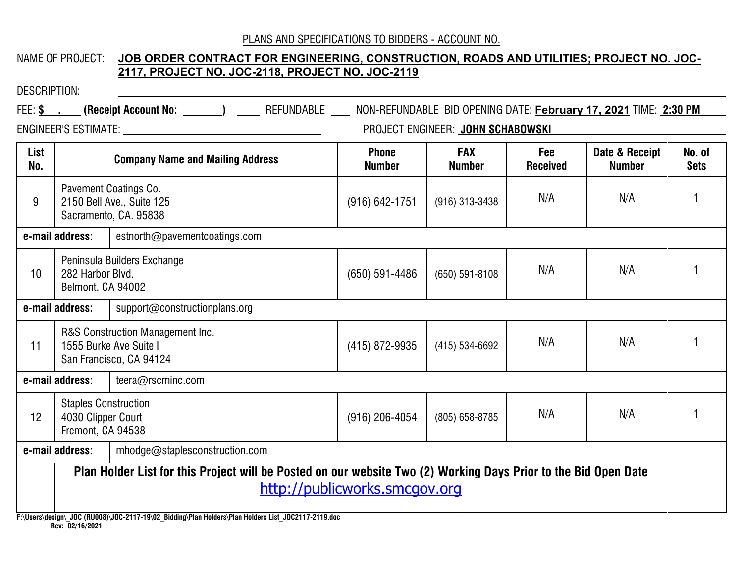# NAME OF PROJECT: **JOB ORDER CONTRACT FOR ENGINEERING, CONSTRUCTION, ROADS AND UTILITIES; PROJECT NO. JOC-2117, PROJECT NO. JOC-2118, PROJECT NO. JOC-2119**

| <b>DESCRIPTION:</b> |                                                                                       |                                                                                                                             |                               |                                   |                        |                                 |                       |  |  |
|---------------------|---------------------------------------------------------------------------------------|-----------------------------------------------------------------------------------------------------------------------------|-------------------------------|-----------------------------------|------------------------|---------------------------------|-----------------------|--|--|
|                     |                                                                                       | FEE: \$ . (Receipt Account No: ______) ____ REFUNDABLE ___ NON-REFUNDABLE BID OPENING DATE: February 17, 2021 TIME: 2:30 PM |                               |                                   |                        |                                 |                       |  |  |
|                     |                                                                                       |                                                                                                                             |                               | PROJECT ENGINEER: JOHN SCHABOWSKI |                        |                                 |                       |  |  |
| List<br>No.         |                                                                                       | <b>Company Name and Mailing Address</b>                                                                                     | <b>Phone</b><br><b>Number</b> | <b>FAX</b><br><b>Number</b>       | Fee<br><b>Received</b> | Date & Receipt<br><b>Number</b> | No. of<br><b>Sets</b> |  |  |
| 9                   | Pavement Coatings Co.<br>2150 Bell Ave., Suite 125<br>Sacramento, CA. 95838           |                                                                                                                             | $(916) 642 - 1751$            | $(916)$ 313-3438                  | N/A                    | N/A                             |                       |  |  |
|                     | e-mail address:                                                                       | estnorth@pavementcoatings.com                                                                                               |                               |                                   |                        |                                 |                       |  |  |
| 10                  | Peninsula Builders Exchange<br>282 Harbor Blvd.<br>Belmont, CA 94002                  |                                                                                                                             | $(650) 591 - 4486$            | $(650) 591 - 8108$                | N/A                    | N/A                             |                       |  |  |
|                     | e-mail address:                                                                       | support@constructionplans.org                                                                                               |                               |                                   |                        |                                 |                       |  |  |
| 11                  | R&S Construction Management Inc.<br>1555 Burke Ave Suite I<br>San Francisco, CA 94124 |                                                                                                                             | (415) 872-9935                | (415) 534-6692                    | N/A                    | N/A                             |                       |  |  |
| e-mail address:     |                                                                                       | teera@rscminc.com                                                                                                           |                               |                                   |                        |                                 |                       |  |  |
| 12                  | <b>Staples Construction</b><br>4030 Clipper Court<br>Fremont, CA 94538                |                                                                                                                             | $(916)$ 206-4054              | (805) 658-8785                    | N/A                    | N/A                             |                       |  |  |
|                     | e-mail address:                                                                       | mhodge@staplesconstruction.com                                                                                              |                               |                                   |                        |                                 |                       |  |  |
|                     |                                                                                       | Plan Holder List for this Project will be Posted on our website Two (2) Working Days Prior to the Bid Open Date             | http://publicworks.smcgov.org |                                   |                        |                                 |                       |  |  |